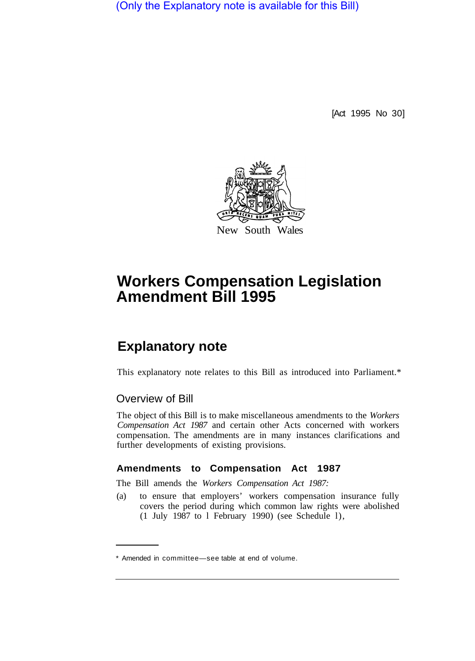(Only the Explanatory note is available for this Bill)

[Act 1995 No 30]



# **Workers Compensation Legislation Amendment Bill 1995**

# **Explanatory note**

This explanatory note relates to this Bill as introduced into Parliament.\*

## Overview of Bill

The object of this Bill is to make miscellaneous amendments to the *Workers Compensation Act 1987* and certain other Acts concerned with workers compensation. The amendments are in many instances clarifications and further developments of existing provisions.

#### **Amendments to Compensation Act 1987**

The Bill amends the *Workers Compensation Act 1987:* 

(a) to ensure that employers' workers compensation insurance fully covers the period during which common law rights were abolished (1 July 1987 to l February 1990) (see Schedule l),

<sup>\*</sup> Amended in committee—see table at end of volume.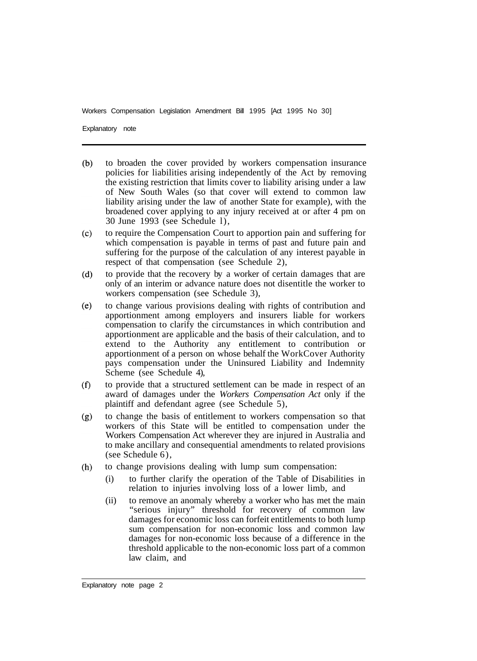Explanatory note

- $(b)$ to broaden the cover provided by workers compensation insurance policies for liabilities arising independently of the Act by removing the existing restriction that limits cover to liability arising under a law of New South Wales (so that cover will extend to common law liability arising under the law of another State for example), with the broadened cover applying to any injury received at or after 4 pm on 30 June 1993 (see Schedule l),
- $(c)$ to require the Compensation Court to apportion pain and suffering for which compensation is payable in terms of past and future pain and suffering for the purpose of the calculation of any interest payable in respect of that compensation (see Schedule 2),
- $(d)$ to provide that the recovery by a worker of certain damages that are only of an interim or advance nature does not disentitle the worker to workers compensation (see Schedule 3),
- to change various provisions dealing with rights of contribution and  $(e)$ apportionment among employers and insurers liable for workers compensation to clarify the circumstances in which contribution and apportionment are applicable and the basis of their calculation, and to extend to the Authority any entitlement to contribution or apportionment of a person on whose behalf the WorkCover Authority pays compensation under the Uninsured Liability and Indemnity Scheme (see Schedule 4),
- to provide that a structured settlement can be made in respect of an  $(f)$ award of damages under the *Workers Compensation Act* only if the plaintiff and defendant agree (see Schedule 5),
- to change the basis of entitlement to workers compensation so that  $(g)$ workers of this State will be entitled to compensation under the Workers Compensation Act wherever they are injured in Australia and to make ancillary and consequential amendments to related provisions (see Schedule 6),
- to change provisions dealing with lump sum compensation:  $(h)$ 
	- (i) to further clarify the operation of the Table of Disabilities in relation to injuries involving loss of a lower limb, and
	- (ii) to remove an anomaly whereby a worker who has met the main "serious injury" threshold for recovery of common law damages for economic loss can forfeit entitlements to both lump sum compensation for non-economic loss and common law damages for non-economic loss because of a difference in the threshold applicable to the non-economic loss part of a common law claim, and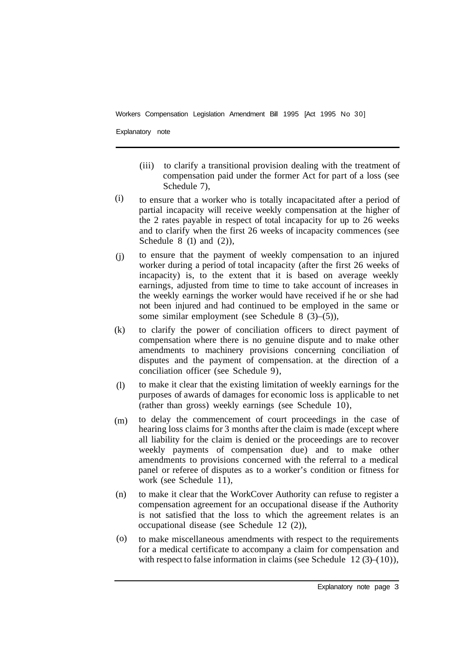Explanatory note

- (iii) to clarify a transitional provision dealing with the treatment of compensation paid under the former Act for part of a loss (see Schedule 7).
- to ensure that a worker who is totally incapacitated after a period of partial incapacity will receive weekly compensation at the higher of the 2 rates payable in respect of total incapacity for up to 26 weeks and to clarify when the first 26 weeks of incapacity commences (see Schedule  $8(1)$  and  $(2)$ ), (i)
- to ensure that the payment of weekly compensation to an injured worker during a period of total incapacity (after the first 26 weeks of incapacity) is, to the extent that it is based on average weekly earnings, adjusted from time to time to take account of increases in the weekly earnings the worker would have received if he or she had not been injured and had continued to be employed in the same or some similar employment (see Schedule 8 (3)–(5)), (j)
- to clarify the power of conciliation officers to direct payment of compensation where there is no genuine dispute and to make other amendments to machinery provisions concerning conciliation of disputes and the payment of compensation. at the direction of a conciliation officer (see Schedule 9), (k)
- to make it clear that the existing limitation of weekly earnings for the purposes of awards of damages for economic loss is applicable to net (rather than gross) weekly earnings (see Schedule 10), (l)
- to delay the commencement of court proceedings in the case of hearing loss claims for 3 months after the claim is made (except where all liability for the claim is denied or the proceedings are to recover weekly payments of compensation due) and to make other amendments to provisions concerned with the referral to a medical panel or referee of disputes as to a worker's condition or fitness for work (see Schedule 11), (m)
- to make it clear that the WorkCover Authority can refuse to register a compensation agreement for an occupational disease if the Authority is not satisfied that the loss to which the agreement relates is an occupational disease (see Schedule 12 (2)), (n)
- to make miscellaneous amendments with respect to the requirements for a medical certificate to accompany a claim for compensation and with respect to false information in claims (see Schedule  $12(3)–(10)$ ), (o)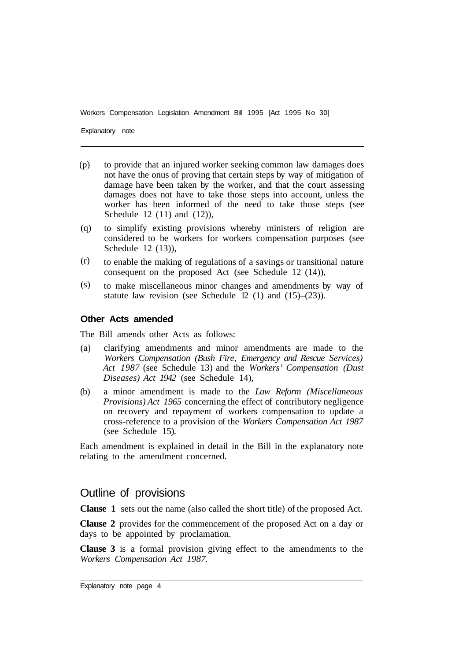Explanatory note

- to provide that an injured worker seeking common law damages does not have the onus of proving that certain steps by way of mitigation of damage have been taken by the worker, and that the court assessing damages does not have to take those steps into account, unless the worker has been informed of the need to take those steps (see Schedule  $12$  (11) and (12)), (p)
- to simplify existing provisions whereby ministers of religion are considered to be workers for workers compensation purposes (see Schedule 12 (13)), (q)
- to enable the making of regulations of a savings or transitional nature consequent on the proposed Act (see Schedule 12 (14)), (r)
- to make miscellaneous minor changes and amendments by way of statute law revision (see Schedule 12 (1) and (15)–(23)). (s)

#### **Other Acts amended**

The Bill amends other Acts as follows:

- (a) clarifying amendments and minor amendments are made to the *Workers Compensation (Bush Fire, Emergency and Rescue Services) Act 1987* (see Schedule 13) and the *Workers' Compensation (Dust Diseases) Act 1942* (see Schedule 14),
- (b) a minor amendment is made to the *Law Reform (Miscellaneous Provisions) Act 1965* concerning the effect of contributory negligence on recovery and repayment of workers compensation to update a cross-reference to a provision of the *Workers Compensation Act 1987*  (see Schedule 15).

Each amendment is explained in detail in the Bill in the explanatory note relating to the amendment concerned.

#### Outline of provisions

**Clause 1** sets out the name (also called the short title) of the proposed Act.

**Clause 2** provides for the commencement of the proposed Act on a day or days to be appointed by proclamation.

**Clause 3** is a formal provision giving effect to the amendments to the *Workers Compensation Act 1987.*